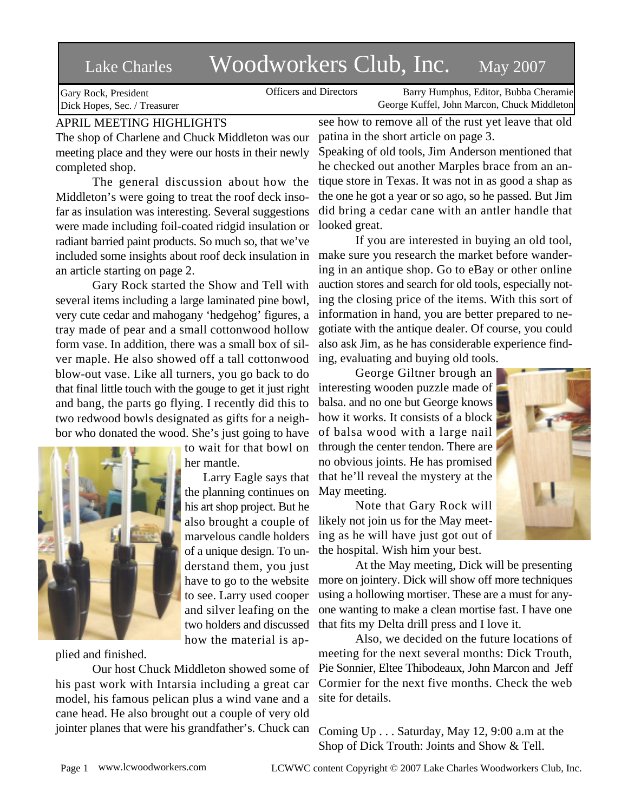# Lake Charles Woodworkers Club, Inc. May 2007

Officers and Directors Barry Humphus, Editor, Bubba Cheramie George Kuffel, John Marcon, Chuck Middleton

## Gary Rock, President Dick Hopes, Sec. / Treasurer

## APRIL MEETING HIGHLIGHTS

The shop of Charlene and Chuck Middleton was our meeting place and they were our hosts in their newly completed shop.

The general discussion about how the Middleton's were going to treat the roof deck insofar as insulation was interesting. Several suggestions were made including foil-coated ridgid insulation or radiant barried paint products. So much so, that we've included some insights about roof deck insulation in make sure you research the market before wanderan article starting on page 2.

Gary Rock started the Show and Tell with several items including a large laminated pine bowl, very cute cedar and mahogany 'hedgehog' figures, a tray made of pear and a small cottonwood hollow form vase. In addition, there was a small box of silver maple. He also showed off a tall cottonwood blow-out vase. Like all turners, you go back to do that final little touch with the gouge to get it just right and bang, the parts go flying. I recently did this to two redwood bowls designated as gifts for a neighbor who donated the wood. She's just going to have



to wait for that bowl on her mantle.

Larry Eagle says that the planning continues on his art shop project. But he also brought a couple of marvelous candle holders of a unique design. To understand them, you just have to go to the website to see. Larry used cooper and silver leafing on the two holders and discussed how the material is ap-

## plied and finished.

Our host Chuck Middleton showed some of his past work with Intarsia including a great car model, his famous pelican plus a wind vane and a cane head. He also brought out a couple of very old

see how to remove all of the rust yet leave that old patina in the short article on page 3.

Speaking of old tools, Jim Anderson mentioned that he checked out another Marples brace from an antique store in Texas. It was not in as good a shap as the one he got a year or so ago, so he passed. But Jim did bring a cedar cane with an antler handle that looked great.

If you are interested in buying an old tool, ing in an antique shop. Go to eBay or other online auction stores and search for old tools, especially noting the closing price of the items. With this sort of information in hand, you are better prepared to negotiate with the antique dealer. Of course, you could also ask Jim, as he has considerable experience finding, evaluating and buying old tools.

George Giltner brough an interesting wooden puzzle made of balsa. and no one but George knows how it works. It consists of a block of balsa wood with a large nail through the center tendon. There are no obvious joints. He has promised that he'll reveal the mystery at the May meeting.



Note that Gary Rock will likely not join us for the May meeting as he will have just got out of the hospital. Wish him your best.

At the May meeting, Dick will be presenting more on jointery. Dick will show off more techniques using a hollowing mortiser. These are a must for anyone wanting to make a clean mortise fast. I have one that fits my Delta drill press and I love it.

Also, we decided on the future locations of meeting for the next several months: Dick Trouth, Pie Sonnier, Eltee Thibodeaux, John Marcon and Jeff Cormier for the next five months. Check the web site for details.

jointer planes that were his grandfather's. Chuck can Coming Up . . . Saturday, May 12, 9:00 a.m at the Shop of Dick Trouth: Joints and Show & Tell.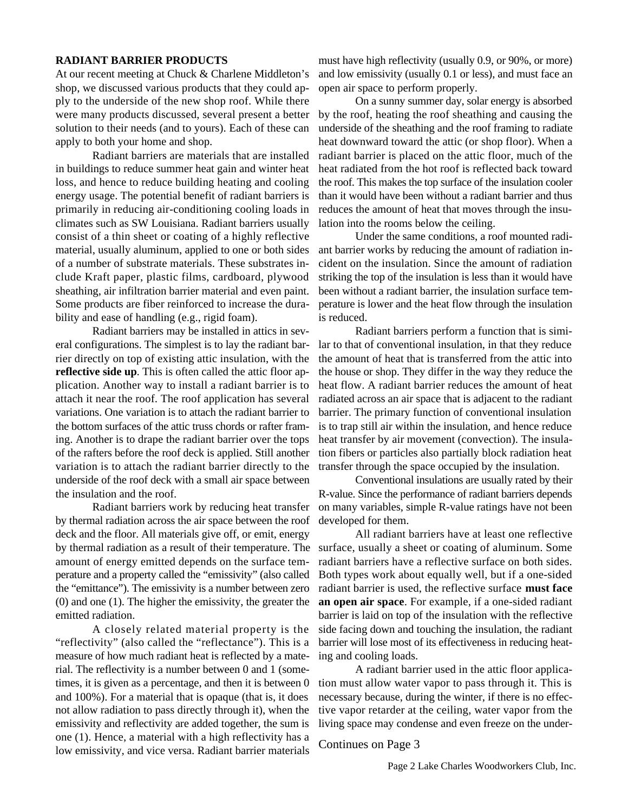#### **RADIANT BARRIER PRODUCTS**

At our recent meeting at Chuck & Charlene Middleton's shop, we discussed various products that they could apply to the underside of the new shop roof. While there were many products discussed, several present a better solution to their needs (and to yours). Each of these can apply to both your home and shop.

Radiant barriers are materials that are installed in buildings to reduce summer heat gain and winter heat loss, and hence to reduce building heating and cooling energy usage. The potential benefit of radiant barriers is primarily in reducing air-conditioning cooling loads in climates such as SW Louisiana. Radiant barriers usually consist of a thin sheet or coating of a highly reflective material, usually aluminum, applied to one or both sides of a number of substrate materials. These substrates include Kraft paper, plastic films, cardboard, plywood sheathing, air infiltration barrier material and even paint. Some products are fiber reinforced to increase the durability and ease of handling (e.g., rigid foam).

Radiant barriers may be installed in attics in several configurations. The simplest is to lay the radiant barrier directly on top of existing attic insulation, with the **reflective side up**. This is often called the attic floor application. Another way to install a radiant barrier is to attach it near the roof. The roof application has several variations. One variation is to attach the radiant barrier to the bottom surfaces of the attic truss chords or rafter framing. Another is to drape the radiant barrier over the tops of the rafters before the roof deck is applied. Still another variation is to attach the radiant barrier directly to the underside of the roof deck with a small air space between the insulation and the roof.

Radiant barriers work by reducing heat transfer by thermal radiation across the air space between the roof deck and the floor. All materials give off, or emit, energy by thermal radiation as a result of their temperature. The surface, usually a sheet or coating of aluminum. Some amount of energy emitted depends on the surface temperature and a property called the "emissivity" (also called the "emittance"). The emissivity is a number between zero (0) and one (1). The higher the emissivity, the greater the emitted radiation.

A closely related material property is the "reflectivity" (also called the "reflectance"). This is a measure of how much radiant heat is reflected by a material. The reflectivity is a number between 0 and 1 (sometimes, it is given as a percentage, and then it is between 0 and 100%). For a material that is opaque (that is, it does not allow radiation to pass directly through it), when the emissivity and reflectivity are added together, the sum is one (1). Hence, a material with a high reflectivity has a low emissivity, and vice versa. Radiant barrier materials

must have high reflectivity (usually 0.9, or 90%, or more) and low emissivity (usually 0.1 or less), and must face an open air space to perform properly.

On a sunny summer day, solar energy is absorbed by the roof, heating the roof sheathing and causing the underside of the sheathing and the roof framing to radiate heat downward toward the attic (or shop floor). When a radiant barrier is placed on the attic floor, much of the heat radiated from the hot roof is reflected back toward the roof. This makes the top surface of the insulation cooler than it would have been without a radiant barrier and thus reduces the amount of heat that moves through the insulation into the rooms below the ceiling.

Under the same conditions, a roof mounted radiant barrier works by reducing the amount of radiation incident on the insulation. Since the amount of radiation striking the top of the insulation is less than it would have been without a radiant barrier, the insulation surface temperature is lower and the heat flow through the insulation is reduced.

Radiant barriers perform a function that is similar to that of conventional insulation, in that they reduce the amount of heat that is transferred from the attic into the house or shop. They differ in the way they reduce the heat flow. A radiant barrier reduces the amount of heat radiated across an air space that is adjacent to the radiant barrier. The primary function of conventional insulation is to trap still air within the insulation, and hence reduce heat transfer by air movement (convection). The insulation fibers or particles also partially block radiation heat transfer through the space occupied by the insulation.

Conventional insulations are usually rated by their R-value. Since the performance of radiant barriers depends on many variables, simple R-value ratings have not been developed for them.

All radiant barriers have at least one reflective radiant barriers have a reflective surface on both sides. Both types work about equally well, but if a one-sided radiant barrier is used, the reflective surface **must face an open air space**. For example, if a one-sided radiant barrier is laid on top of the insulation with the reflective side facing down and touching the insulation, the radiant barrier will lose most of its effectiveness in reducing heating and cooling loads.

A radiant barrier used in the attic floor application must allow water vapor to pass through it. This is necessary because, during the winter, if there is no effective vapor retarder at the ceiling, water vapor from the living space may condense and even freeze on the under-

Continues on Page 3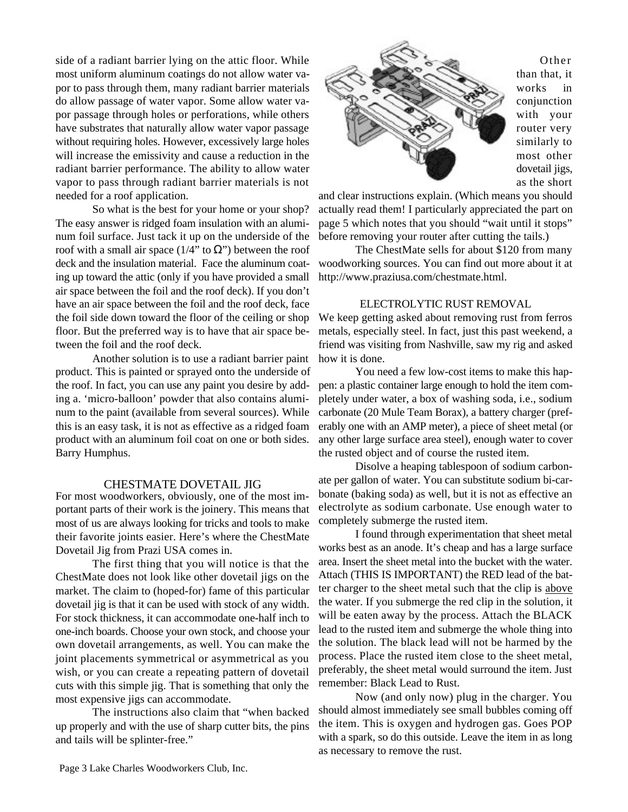side of a radiant barrier lying on the attic floor. While most uniform aluminum coatings do not allow water vapor to pass through them, many radiant barrier materials do allow passage of water vapor. Some allow water vapor passage through holes or perforations, while others have substrates that naturally allow water vapor passage without requiring holes. However, excessively large holes will increase the emissivity and cause a reduction in the radiant barrier performance. The ability to allow water vapor to pass through radiant barrier materials is not needed for a roof application.

So what is the best for your home or your shop? The easy answer is ridged foam insulation with an aluminum foil surface. Just tack it up on the underside of the roof with a small air space (1/4" to ") between the roof deck and the insulation material. Face the aluminum coating up toward the attic (only if you have provided a small air space between the foil and the roof deck). If you don't have an air space between the foil and the roof deck, face the foil side down toward the floor of the ceiling or shop floor. But the preferred way is to have that air space between the foil and the roof deck.

Another solution is to use a radiant barrier paint product. This is painted or sprayed onto the underside of the roof. In fact, you can use any paint you desire by adding a. 'micro-balloon' powder that also contains aluminum to the paint (available from several sources). While this is an easy task, it is not as effective as a ridged foam product with an aluminum foil coat on one or both sides. Barry Humphus.

### CHESTMATE DOVETAIL JIG

For most woodworkers, obviously, one of the most important parts of their work is the joinery. This means that most of us are always looking for tricks and tools to make their favorite joints easier. Here's where the ChestMate Dovetail Jig from Prazi USA comes in.

The first thing that you will notice is that the ChestMate does not look like other dovetail jigs on the market. The claim to (hoped-for) fame of this particular dovetail jig is that it can be used with stock of any width. For stock thickness, it can accommodate one-half inch to one-inch boards. Choose your own stock, and choose your own dovetail arrangements, as well. You can make the joint placements symmetrical or asymmetrical as you wish, or you can create a repeating pattern of dovetail cuts with this simple jig. That is something that only the most expensive jigs can accommodate.

The instructions also claim that "when backed up properly and with the use of sharp cutter bits, the pins and tails will be splinter-free."



Other than that, it works in conjunction with your router very similarly to most other dovetail jigs, as the short

and clear instructions explain. (Which means you should actually read them! I particularly appreciated the part on page 5 which notes that you should "wait until it stops" before removing your router after cutting the tails.)

The ChestMate sells for about \$120 from many woodworking sources. You can find out more about it at http://www.praziusa.com/chestmate.html.

### ELECTROLYTIC RUST REMOVAL

We keep getting asked about removing rust from ferros metals, especially steel. In fact, just this past weekend, a friend was visiting from Nashville, saw my rig and asked how it is done.

You need a few low-cost items to make this happen: a plastic container large enough to hold the item completely under water, a box of washing soda, i.e., sodium carbonate (20 Mule Team Borax), a battery charger (preferably one with an AMP meter), a piece of sheet metal (or any other large surface area steel), enough water to cover the rusted object and of course the rusted item.

Disolve a heaping tablespoon of sodium carbonate per gallon of water. You can substitute sodium bi-carbonate (baking soda) as well, but it is not as effective an electrolyte as sodium carbonate. Use enough water to completely submerge the rusted item.

I found through experimentation that sheet metal works best as an anode. It's cheap and has a large surface area. Insert the sheet metal into the bucket with the water. Attach (THIS IS IMPORTANT) the RED lead of the batter charger to the sheet metal such that the clip is above the water. If you submerge the red clip in the solution, it will be eaten away by the process. Attach the BLACK lead to the rusted item and submerge the whole thing into the solution. The black lead will not be harmed by the process. Place the rusted item close to the sheet metal, preferably, the sheet metal would surround the item. Just remember: Black Lead to Rust.

Now (and only now) plug in the charger. You should almost immediately see small bubbles coming off the item. This is oxygen and hydrogen gas. Goes POP with a spark, so do this outside. Leave the item in as long as necessary to remove the rust.